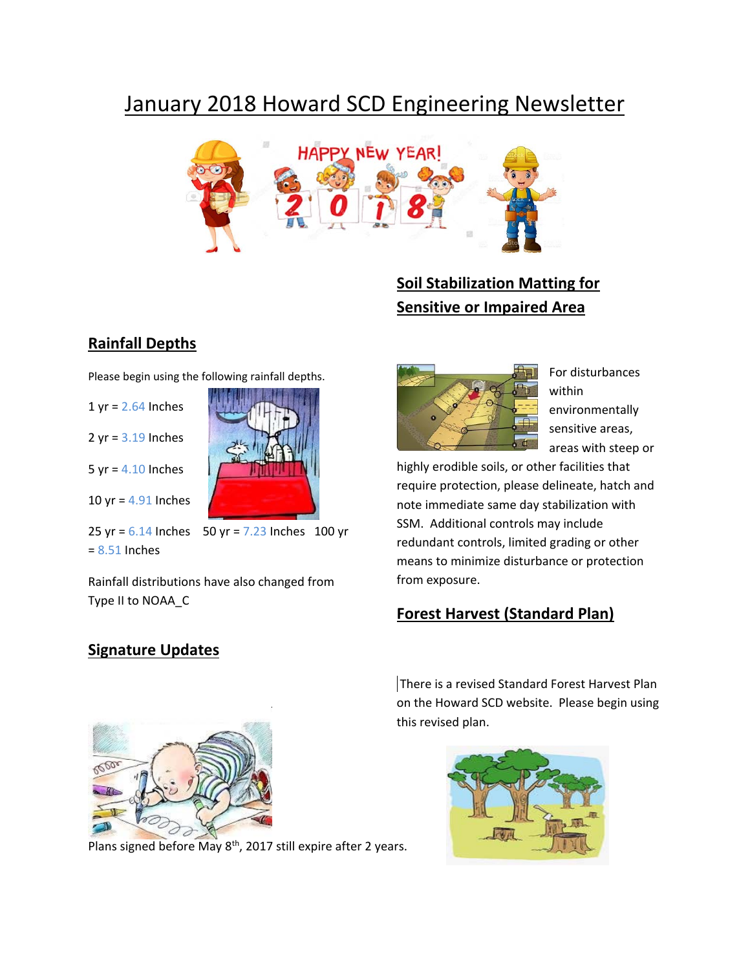# January 2018 Howard SCD Engineering Newsletter



## **Soil Stabilization Matting for Sensitive or Impaired Area**

#### **Rainfall Depths**

Please begin using the following rainfall depths.

- $1$  yr =  $2.64$  Inches
- $2 yr = 3.19$  Inches

 $5$  yr =  $4.10$  Inches

10 yr = 4.91 Inches

25 yr =  $6.14$  Inches  $50$  yr =  $7.23$  Inches 100 yr = 8.51 Inches

Rainfall distributions have also changed from Type II to NOAA\_C



For disturbances within environmentally sensitive areas, areas with steep or

highly erodible soils, or other facilities that require protection, please delineate, hatch and note immediate same day stabilization with SSM. Additional controls may include redundant controls, limited grading or other means to minimize disturbance or protection from exposure.

### **Forest Harvest (Standard Plan)**

#### **Signature Updates**



Plans signed before May 8<sup>th</sup>, 2017 still expire after 2 years.

There is a revised Standard Forest Harvest Plan on the Howard SCD website. Please begin using this revised plan.